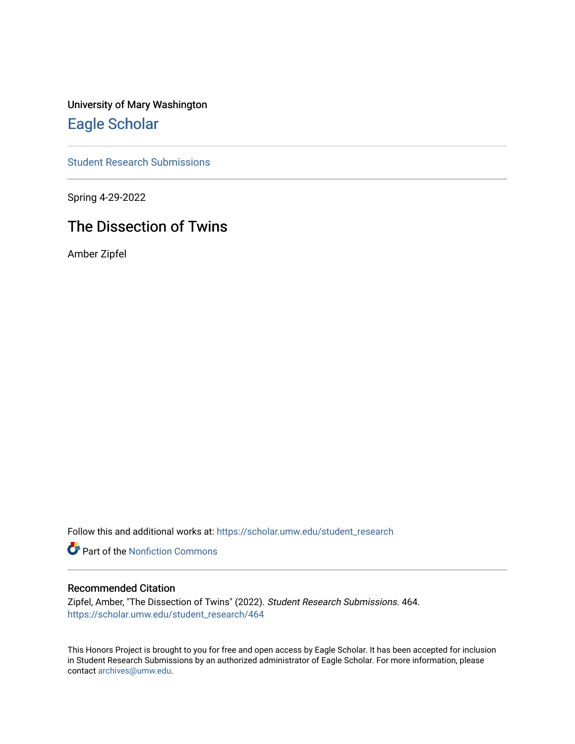University of Mary Washington [Eagle Scholar](https://scholar.umw.edu/) 

[Student Research Submissions](https://scholar.umw.edu/student_research) 

Spring 4-29-2022

# The Dissection of Twins

Amber Zipfel

Follow this and additional works at: [https://scholar.umw.edu/student\\_research](https://scholar.umw.edu/student_research?utm_source=scholar.umw.edu%2Fstudent_research%2F464&utm_medium=PDF&utm_campaign=PDFCoverPages)

**Part of the Nonfiction Commons** 

## Recommended Citation

Zipfel, Amber, "The Dissection of Twins" (2022). Student Research Submissions. 464. [https://scholar.umw.edu/student\\_research/464](https://scholar.umw.edu/student_research/464?utm_source=scholar.umw.edu%2Fstudent_research%2F464&utm_medium=PDF&utm_campaign=PDFCoverPages)

This Honors Project is brought to you for free and open access by Eagle Scholar. It has been accepted for inclusion in Student Research Submissions by an authorized administrator of Eagle Scholar. For more information, please contact [archives@umw.edu](mailto:archives@umw.edu).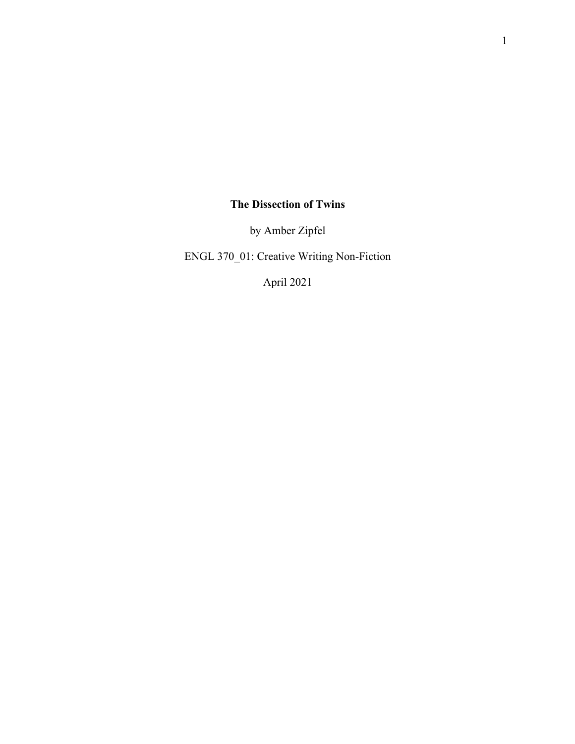## **The Dissection of Twins**

by Amber Zipfel

ENGL 370\_01: Creative Writing Non-Fiction

April 2021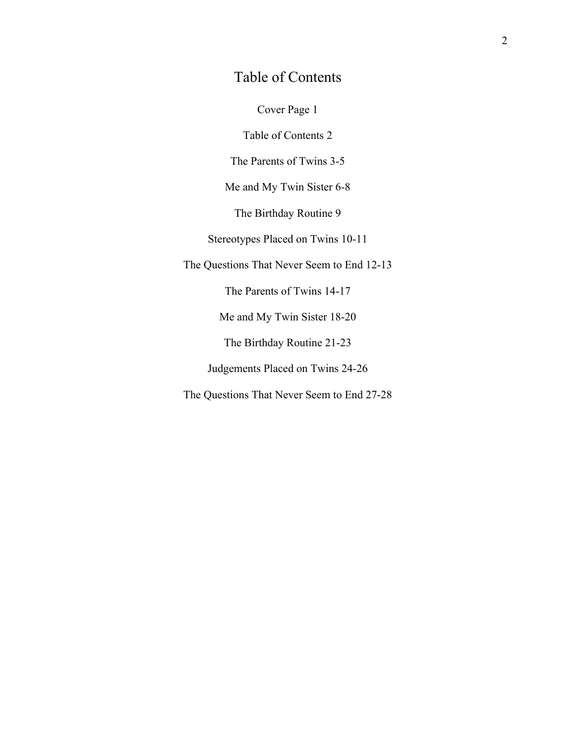## Table of Contents

Cover Page 1

Table of Contents 2

The Parents of Twins 3-5

Me and My Twin Sister 6-8

The Birthday Routine 9

Stereotypes Placed on Twins 10-11

The Questions That Never Seem to End 12-13

The Parents of Twins 14-17

Me and My Twin Sister 18-20

The Birthday Routine 21-23

Judgements Placed on Twins 24-26

The Questions That Never Seem to End 27-28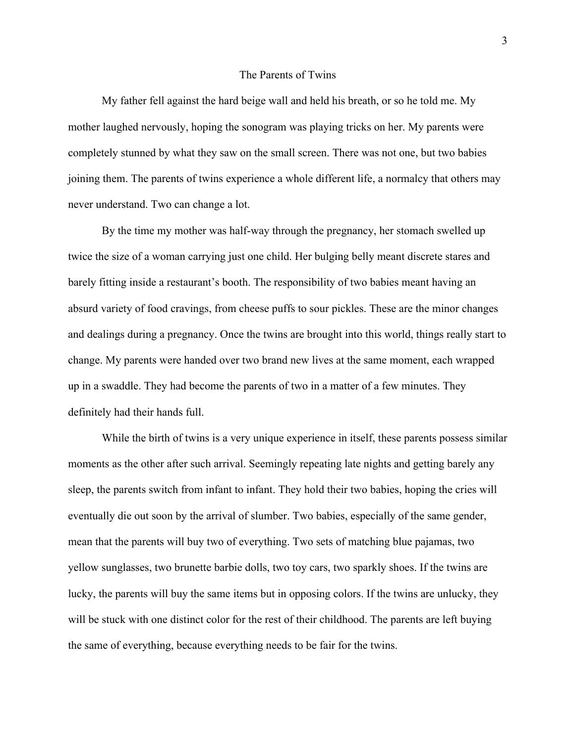#### The Parents of Twins

My father fell against the hard beige wall and held his breath, or so he told me. My mother laughed nervously, hoping the sonogram was playing tricks on her. My parents were completely stunned by what they saw on the small screen. There was not one, but two babies joining them. The parents of twins experience a whole different life, a normalcy that others may never understand. Two can change a lot.

By the time my mother was half-way through the pregnancy, her stomach swelled up twice the size of a woman carrying just one child. Her bulging belly meant discrete stares and barely fitting inside a restaurant's booth. The responsibility of two babies meant having an absurd variety of food cravings, from cheese puffs to sour pickles. These are the minor changes and dealings during a pregnancy. Once the twins are brought into this world, things really start to change. My parents were handed over two brand new lives at the same moment, each wrapped up in a swaddle. They had become the parents of two in a matter of a few minutes. They definitely had their hands full.

While the birth of twins is a very unique experience in itself, these parents possess similar moments as the other after such arrival. Seemingly repeating late nights and getting barely any sleep, the parents switch from infant to infant. They hold their two babies, hoping the cries will eventually die out soon by the arrival of slumber. Two babies, especially of the same gender, mean that the parents will buy two of everything. Two sets of matching blue pajamas, two yellow sunglasses, two brunette barbie dolls, two toy cars, two sparkly shoes. If the twins are lucky, the parents will buy the same items but in opposing colors. If the twins are unlucky, they will be stuck with one distinct color for the rest of their childhood. The parents are left buying the same of everything, because everything needs to be fair for the twins.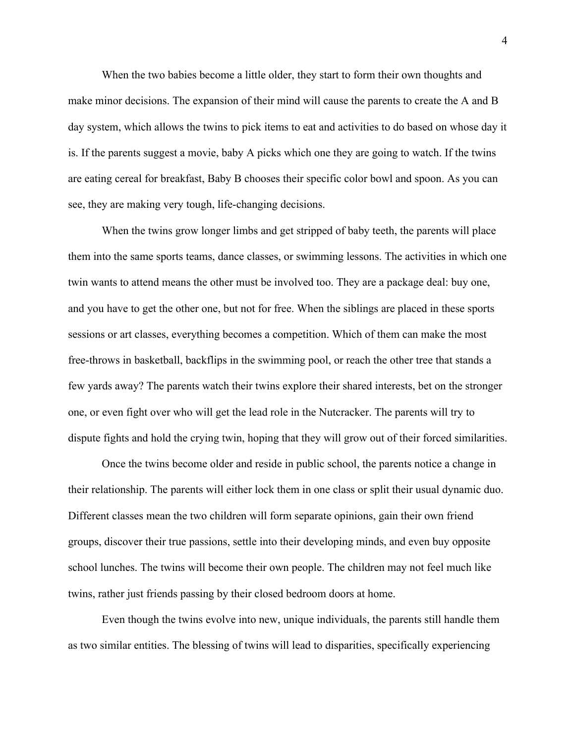When the two babies become a little older, they start to form their own thoughts and make minor decisions. The expansion of their mind will cause the parents to create the A and B day system, which allows the twins to pick items to eat and activities to do based on whose day it is. If the parents suggest a movie, baby A picks which one they are going to watch. If the twins are eating cereal for breakfast, Baby B chooses their specific color bowl and spoon. As you can see, they are making very tough, life-changing decisions.

When the twins grow longer limbs and get stripped of baby teeth, the parents will place them into the same sports teams, dance classes, or swimming lessons. The activities in which one twin wants to attend means the other must be involved too. They are a package deal: buy one, and you have to get the other one, but not for free. When the siblings are placed in these sports sessions or art classes, everything becomes a competition. Which of them can make the most free-throws in basketball, backflips in the swimming pool, or reach the other tree that stands a few yards away? The parents watch their twins explore their shared interests, bet on the stronger one, or even fight over who will get the lead role in the Nutcracker. The parents will try to dispute fights and hold the crying twin, hoping that they will grow out of their forced similarities.

Once the twins become older and reside in public school, the parents notice a change in their relationship. The parents will either lock them in one class or split their usual dynamic duo. Different classes mean the two children will form separate opinions, gain their own friend groups, discover their true passions, settle into their developing minds, and even buy opposite school lunches. The twins will become their own people. The children may not feel much like twins, rather just friends passing by their closed bedroom doors at home.

Even though the twins evolve into new, unique individuals, the parents still handle them as two similar entities. The blessing of twins will lead to disparities, specifically experiencing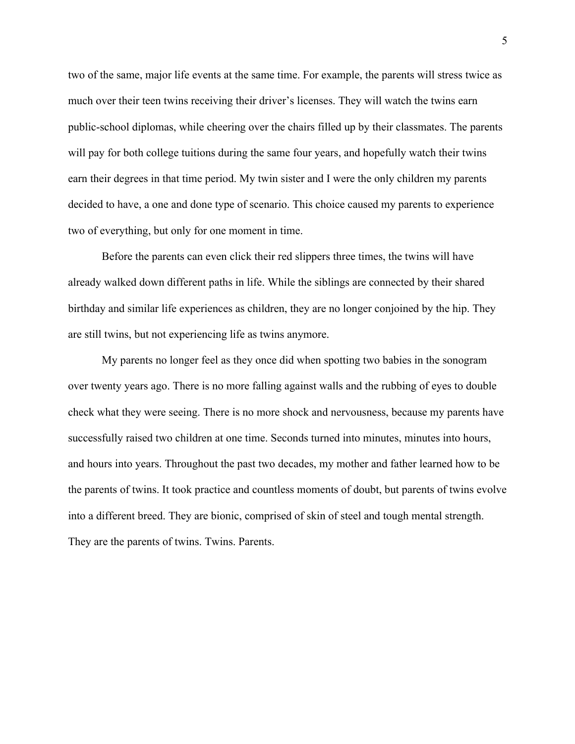two of the same, major life events at the same time. For example, the parents will stress twice as much over their teen twins receiving their driver's licenses. They will watch the twins earn public-school diplomas, while cheering over the chairs filled up by their classmates. The parents will pay for both college tuitions during the same four years, and hopefully watch their twins earn their degrees in that time period. My twin sister and I were the only children my parents decided to have, a one and done type of scenario. This choice caused my parents to experience two of everything, but only for one moment in time.

Before the parents can even click their red slippers three times, the twins will have already walked down different paths in life. While the siblings are connected by their shared birthday and similar life experiences as children, they are no longer conjoined by the hip. They are still twins, but not experiencing life as twins anymore.

My parents no longer feel as they once did when spotting two babies in the sonogram over twenty years ago. There is no more falling against walls and the rubbing of eyes to double check what they were seeing. There is no more shock and nervousness, because my parents have successfully raised two children at one time. Seconds turned into minutes, minutes into hours, and hours into years. Throughout the past two decades, my mother and father learned how to be the parents of twins. It took practice and countless moments of doubt, but parents of twins evolve into a different breed. They are bionic, comprised of skin of steel and tough mental strength. They are the parents of twins. Twins. Parents.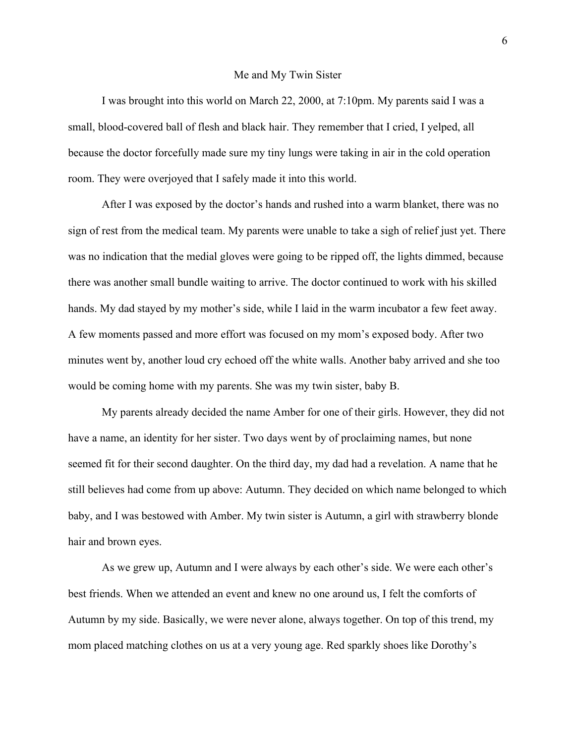#### Me and My Twin Sister

I was brought into this world on March 22, 2000, at 7:10pm. My parents said I was a small, blood-covered ball of flesh and black hair. They remember that I cried, I yelped, all because the doctor forcefully made sure my tiny lungs were taking in air in the cold operation room. They were overjoyed that I safely made it into this world.

After I was exposed by the doctor's hands and rushed into a warm blanket, there was no sign of rest from the medical team. My parents were unable to take a sigh of relief just yet. There was no indication that the medial gloves were going to be ripped off, the lights dimmed, because there was another small bundle waiting to arrive. The doctor continued to work with his skilled hands. My dad stayed by my mother's side, while I laid in the warm incubator a few feet away. A few moments passed and more effort was focused on my mom's exposed body. After two minutes went by, another loud cry echoed off the white walls. Another baby arrived and she too would be coming home with my parents. She was my twin sister, baby B.

My parents already decided the name Amber for one of their girls. However, they did not have a name, an identity for her sister. Two days went by of proclaiming names, but none seemed fit for their second daughter. On the third day, my dad had a revelation. A name that he still believes had come from up above: Autumn. They decided on which name belonged to which baby, and I was bestowed with Amber. My twin sister is Autumn, a girl with strawberry blonde hair and brown eyes.

As we grew up, Autumn and I were always by each other's side. We were each other's best friends. When we attended an event and knew no one around us, I felt the comforts of Autumn by my side. Basically, we were never alone, always together. On top of this trend, my mom placed matching clothes on us at a very young age. Red sparkly shoes like Dorothy's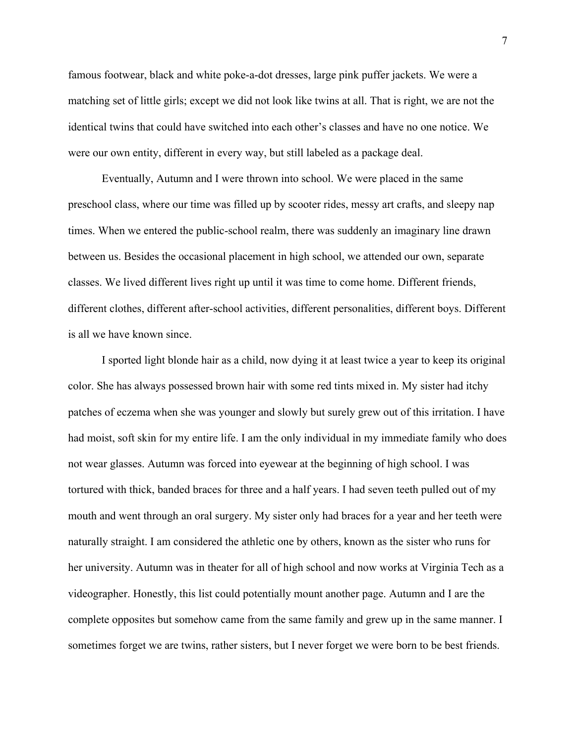famous footwear, black and white poke-a-dot dresses, large pink puffer jackets. We were a matching set of little girls; except we did not look like twins at all. That is right, we are not the identical twins that could have switched into each other's classes and have no one notice. We were our own entity, different in every way, but still labeled as a package deal.

Eventually, Autumn and I were thrown into school. We were placed in the same preschool class, where our time was filled up by scooter rides, messy art crafts, and sleepy nap times. When we entered the public-school realm, there was suddenly an imaginary line drawn between us. Besides the occasional placement in high school, we attended our own, separate classes. We lived different lives right up until it was time to come home. Different friends, different clothes, different after-school activities, different personalities, different boys. Different is all we have known since.

I sported light blonde hair as a child, now dying it at least twice a year to keep its original color. She has always possessed brown hair with some red tints mixed in. My sister had itchy patches of eczema when she was younger and slowly but surely grew out of this irritation. I have had moist, soft skin for my entire life. I am the only individual in my immediate family who does not wear glasses. Autumn was forced into eyewear at the beginning of high school. I was tortured with thick, banded braces for three and a half years. I had seven teeth pulled out of my mouth and went through an oral surgery. My sister only had braces for a year and her teeth were naturally straight. I am considered the athletic one by others, known as the sister who runs for her university. Autumn was in theater for all of high school and now works at Virginia Tech as a videographer. Honestly, this list could potentially mount another page. Autumn and I are the complete opposites but somehow came from the same family and grew up in the same manner. I sometimes forget we are twins, rather sisters, but I never forget we were born to be best friends.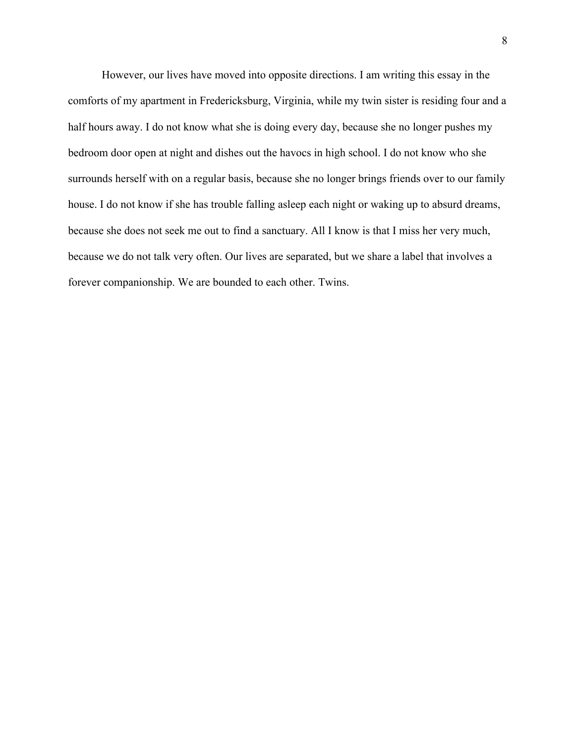However, our lives have moved into opposite directions. I am writing this essay in the comforts of my apartment in Fredericksburg, Virginia, while my twin sister is residing four and a half hours away. I do not know what she is doing every day, because she no longer pushes my bedroom door open at night and dishes out the havocs in high school. I do not know who she surrounds herself with on a regular basis, because she no longer brings friends over to our family house. I do not know if she has trouble falling asleep each night or waking up to absurd dreams, because she does not seek me out to find a sanctuary. All I know is that I miss her very much, because we do not talk very often. Our lives are separated, but we share a label that involves a forever companionship. We are bounded to each other. Twins.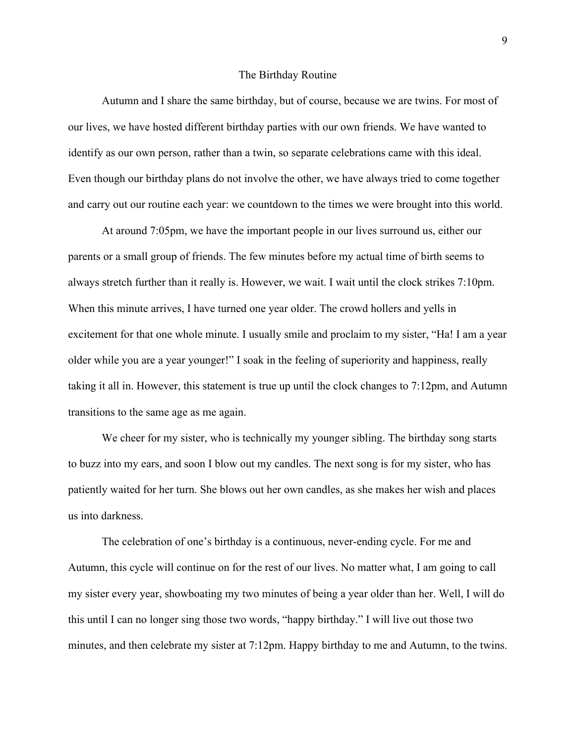#### The Birthday Routine

Autumn and I share the same birthday, but of course, because we are twins. For most of our lives, we have hosted different birthday parties with our own friends. We have wanted to identify as our own person, rather than a twin, so separate celebrations came with this ideal. Even though our birthday plans do not involve the other, we have always tried to come together and carry out our routine each year: we countdown to the times we were brought into this world.

At around 7:05pm, we have the important people in our lives surround us, either our parents or a small group of friends. The few minutes before my actual time of birth seems to always stretch further than it really is. However, we wait. I wait until the clock strikes 7:10pm. When this minute arrives, I have turned one year older. The crowd hollers and yells in excitement for that one whole minute. I usually smile and proclaim to my sister, "Ha! I am a year older while you are a year younger!" I soak in the feeling of superiority and happiness, really taking it all in. However, this statement is true up until the clock changes to 7:12pm, and Autumn transitions to the same age as me again.

We cheer for my sister, who is technically my younger sibling. The birthday song starts to buzz into my ears, and soon I blow out my candles. The next song is for my sister, who has patiently waited for her turn. She blows out her own candles, as she makes her wish and places us into darkness.

The celebration of one's birthday is a continuous, never-ending cycle. For me and Autumn, this cycle will continue on for the rest of our lives. No matter what, I am going to call my sister every year, showboating my two minutes of being a year older than her. Well, I will do this until I can no longer sing those two words, "happy birthday." I will live out those two minutes, and then celebrate my sister at 7:12pm. Happy birthday to me and Autumn, to the twins.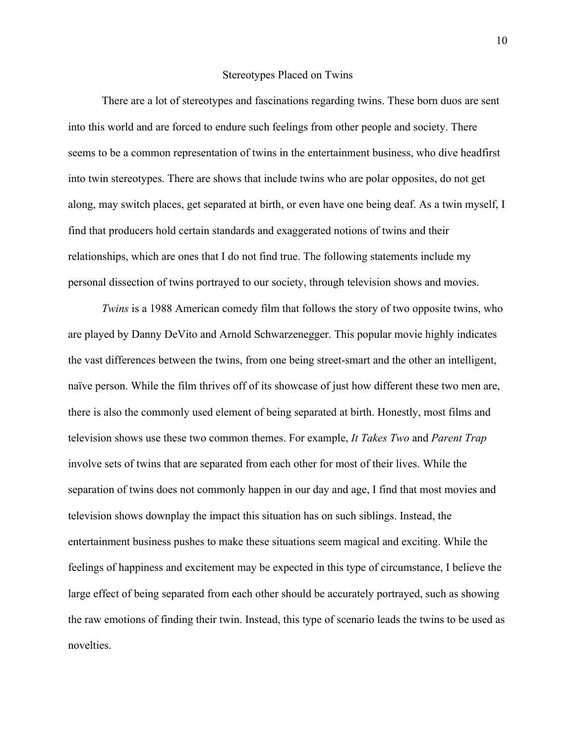#### Stereotypes Placed on Twins

There are a lot of stereotypes and fascinations regarding twins. These born duos are sent into this world and are forced to endure such feelings from other people and society. There seems to be a common representation of twins in the entertainment business, who dive headfirst into twin stereotypes. There are shows that include twins who are polar opposites, do not get along, may switch places, get separated at birth, or even have one being deaf. As a twin myself, I find that producers hold certain standards and exaggerated notions of twins and their relationships, which are ones that I do not find true. The following statements include my personal dissection of twins portrayed to our society, through television shows and movies.

*Twins* is a 1988 American comedy film that follows the story of two opposite twins, who are played by Danny DeVito and Arnold Schwarzenegger. This popular movie highly indicates the vast differences between the twins, from one being street-smart and the other an intelligent, naïve person. While the film thrives off of its showcase of just how different these two men are, there is also the commonly used element of being separated at birth. Honestly, most films and television shows use these two common themes. For example, *It Takes Two* and *Parent Trap* involve sets of twins that are separated from each other for most of their lives. While the separation of twins does not commonly happen in our day and age, I find that most movies and television shows downplay the impact this situation has on such siblings. Instead, the entertainment business pushes to make these situations seem magical and exciting. While the feelings of happiness and excitement may be expected in this type of circumstance, I believe the large effect of being separated from each other should be accurately portrayed, such as showing the raw emotions of finding their twin. Instead, this type of scenario leads the twins to be used as novelties.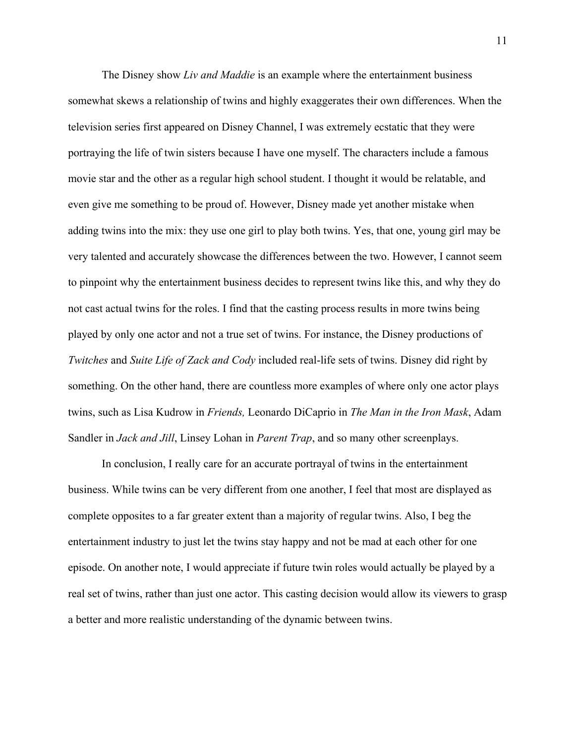The Disney show *Liv and Maddie* is an example where the entertainment business somewhat skews a relationship of twins and highly exaggerates their own differences. When the television series first appeared on Disney Channel, I was extremely ecstatic that they were portraying the life of twin sisters because I have one myself. The characters include a famous movie star and the other as a regular high school student. I thought it would be relatable, and even give me something to be proud of. However, Disney made yet another mistake when adding twins into the mix: they use one girl to play both twins. Yes, that one, young girl may be very talented and accurately showcase the differences between the two. However, I cannot seem to pinpoint why the entertainment business decides to represent twins like this, and why they do not cast actual twins for the roles. I find that the casting process results in more twins being played by only one actor and not a true set of twins. For instance, the Disney productions of *Twitches* and *Suite Life of Zack and Cody* included real-life sets of twins. Disney did right by something. On the other hand, there are countless more examples of where only one actor plays twins, such as Lisa Kudrow in *Friends,* Leonardo DiCaprio in *The Man in the Iron Mask*, Adam Sandler in *Jack and Jill*, Linsey Lohan in *Parent Trap*, and so many other screenplays.

In conclusion, I really care for an accurate portrayal of twins in the entertainment business. While twins can be very different from one another, I feel that most are displayed as complete opposites to a far greater extent than a majority of regular twins. Also, I beg the entertainment industry to just let the twins stay happy and not be mad at each other for one episode. On another note, I would appreciate if future twin roles would actually be played by a real set of twins, rather than just one actor. This casting decision would allow its viewers to grasp a better and more realistic understanding of the dynamic between twins.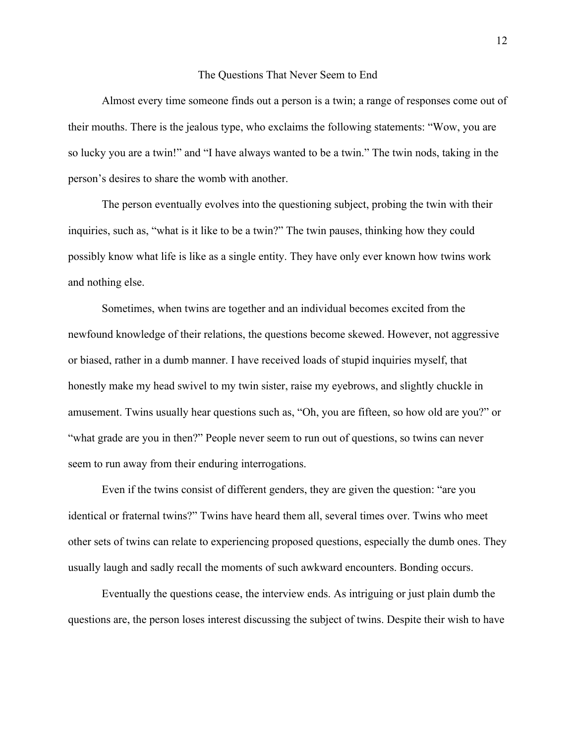#### The Questions That Never Seem to End

Almost every time someone finds out a person is a twin; a range of responses come out of their mouths. There is the jealous type, who exclaims the following statements: "Wow, you are so lucky you are a twin!" and "I have always wanted to be a twin." The twin nods, taking in the person's desires to share the womb with another.

The person eventually evolves into the questioning subject, probing the twin with their inquiries, such as, "what is it like to be a twin?" The twin pauses, thinking how they could possibly know what life is like as a single entity. They have only ever known how twins work and nothing else.

Sometimes, when twins are together and an individual becomes excited from the newfound knowledge of their relations, the questions become skewed. However, not aggressive or biased, rather in a dumb manner. I have received loads of stupid inquiries myself, that honestly make my head swivel to my twin sister, raise my eyebrows, and slightly chuckle in amusement. Twins usually hear questions such as, "Oh, you are fifteen, so how old are you?" or "what grade are you in then?" People never seem to run out of questions, so twins can never seem to run away from their enduring interrogations.

Even if the twins consist of different genders, they are given the question: "are you identical or fraternal twins?" Twins have heard them all, several times over. Twins who meet other sets of twins can relate to experiencing proposed questions, especially the dumb ones. They usually laugh and sadly recall the moments of such awkward encounters. Bonding occurs.

Eventually the questions cease, the interview ends. As intriguing or just plain dumb the questions are, the person loses interest discussing the subject of twins. Despite their wish to have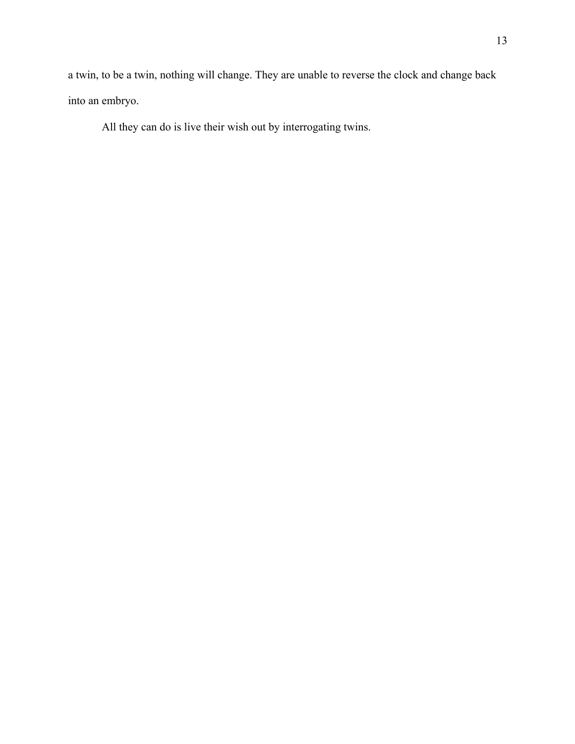a twin, to be a twin, nothing will change. They are unable to reverse the clock and change back into an embryo.

All they can do is live their wish out by interrogating twins.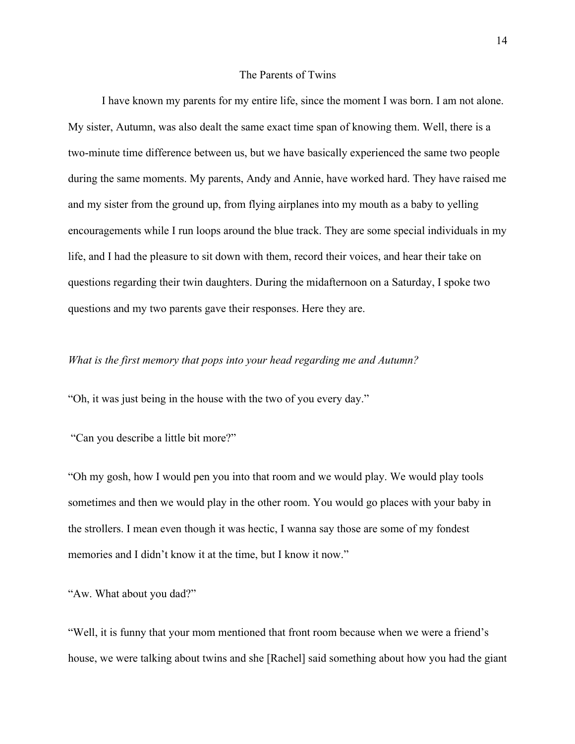#### The Parents of Twins

I have known my parents for my entire life, since the moment I was born. I am not alone. My sister, Autumn, was also dealt the same exact time span of knowing them. Well, there is a two-minute time difference between us, but we have basically experienced the same two people during the same moments. My parents, Andy and Annie, have worked hard. They have raised me and my sister from the ground up, from flying airplanes into my mouth as a baby to yelling encouragements while I run loops around the blue track. They are some special individuals in my life, and I had the pleasure to sit down with them, record their voices, and hear their take on questions regarding their twin daughters. During the midafternoon on a Saturday, I spoke two questions and my two parents gave their responses. Here they are.

## *What is the first memory that pops into your head regarding me and Autumn?*

"Oh, it was just being in the house with the two of you every day."

"Can you describe a little bit more?"

"Oh my gosh, how I would pen you into that room and we would play. We would play tools sometimes and then we would play in the other room. You would go places with your baby in the strollers. I mean even though it was hectic, I wanna say those are some of my fondest memories and I didn't know it at the time, but I know it now."

"Aw. What about you dad?"

"Well, it is funny that your mom mentioned that front room because when we were a friend's house, we were talking about twins and she [Rachel] said something about how you had the giant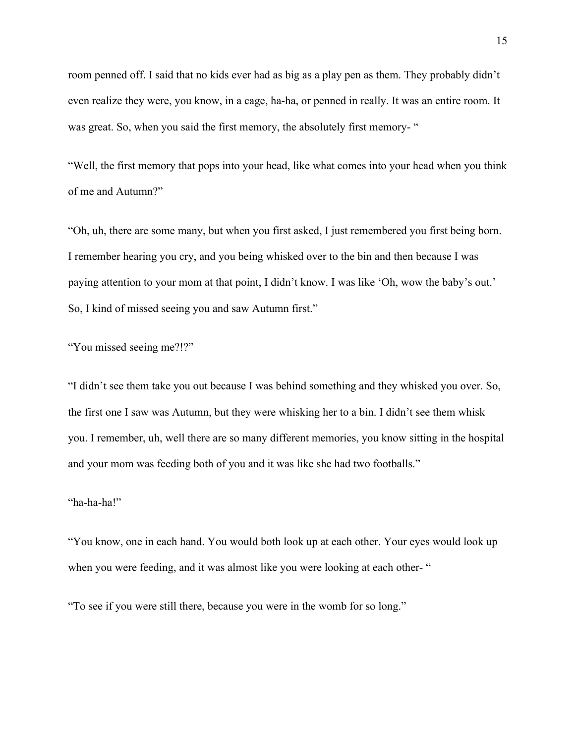room penned off. I said that no kids ever had as big as a play pen as them. They probably didn't even realize they were, you know, in a cage, ha-ha, or penned in really. It was an entire room. It was great. So, when you said the first memory, the absolutely first memory- "

"Well, the first memory that pops into your head, like what comes into your head when you think of me and Autumn?"

"Oh, uh, there are some many, but when you first asked, I just remembered you first being born. I remember hearing you cry, and you being whisked over to the bin and then because I was paying attention to your mom at that point, I didn't know. I was like 'Oh, wow the baby's out.' So, I kind of missed seeing you and saw Autumn first."

"You missed seeing me?!?"

"I didn't see them take you out because I was behind something and they whisked you over. So, the first one I saw was Autumn, but they were whisking her to a bin. I didn't see them whisk you. I remember, uh, well there are so many different memories, you know sitting in the hospital and your mom was feeding both of you and it was like she had two footballs."

### "ha-ha-ha!"

"You know, one in each hand. You would both look up at each other. Your eyes would look up when you were feeding, and it was almost like you were looking at each other- "

"To see if you were still there, because you were in the womb for so long."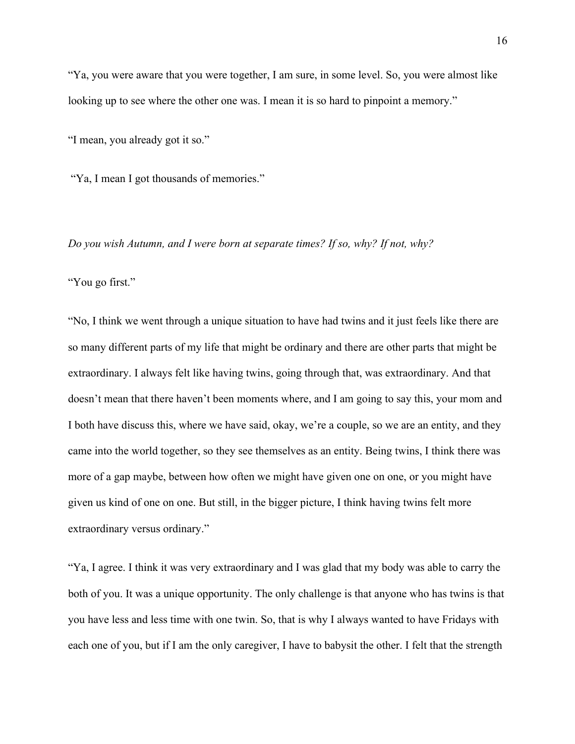"Ya, you were aware that you were together, I am sure, in some level. So, you were almost like looking up to see where the other one was. I mean it is so hard to pinpoint a memory."

"I mean, you already got it so."

"Ya, I mean I got thousands of memories."

*Do you wish Autumn, and I were born at separate times? If so, why? If not, why?*

"You go first."

"No, I think we went through a unique situation to have had twins and it just feels like there are so many different parts of my life that might be ordinary and there are other parts that might be extraordinary. I always felt like having twins, going through that, was extraordinary. And that doesn't mean that there haven't been moments where, and I am going to say this, your mom and I both have discuss this, where we have said, okay, we're a couple, so we are an entity, and they came into the world together, so they see themselves as an entity. Being twins, I think there was more of a gap maybe, between how often we might have given one on one, or you might have given us kind of one on one. But still, in the bigger picture, I think having twins felt more extraordinary versus ordinary."

"Ya, I agree. I think it was very extraordinary and I was glad that my body was able to carry the both of you. It was a unique opportunity. The only challenge is that anyone who has twins is that you have less and less time with one twin. So, that is why I always wanted to have Fridays with each one of you, but if I am the only caregiver, I have to babysit the other. I felt that the strength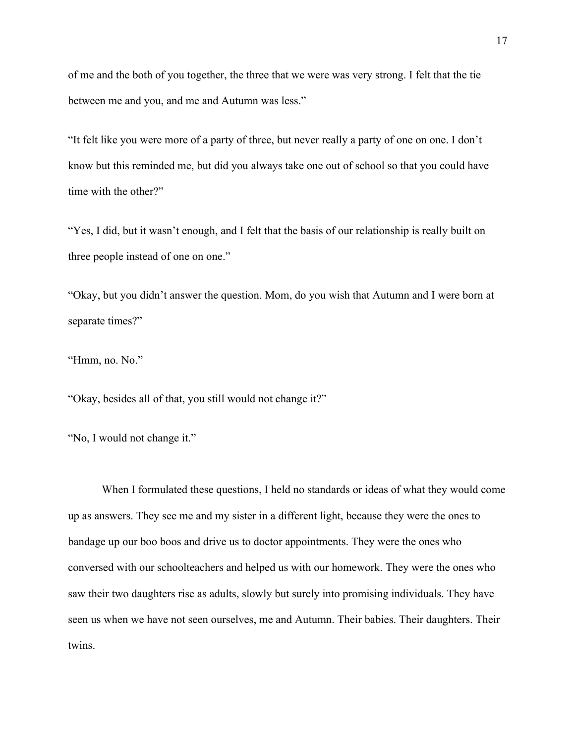of me and the both of you together, the three that we were was very strong. I felt that the tie between me and you, and me and Autumn was less."

"It felt like you were more of a party of three, but never really a party of one on one. I don't know but this reminded me, but did you always take one out of school so that you could have time with the other?"

"Yes, I did, but it wasn't enough, and I felt that the basis of our relationship is really built on three people instead of one on one."

"Okay, but you didn't answer the question. Mom, do you wish that Autumn and I were born at separate times?"

"Hmm, no. No."

"Okay, besides all of that, you still would not change it?"

"No, I would not change it."

When I formulated these questions, I held no standards or ideas of what they would come up as answers. They see me and my sister in a different light, because they were the ones to bandage up our boo boos and drive us to doctor appointments. They were the ones who conversed with our schoolteachers and helped us with our homework. They were the ones who saw their two daughters rise as adults, slowly but surely into promising individuals. They have seen us when we have not seen ourselves, me and Autumn. Their babies. Their daughters. Their twins.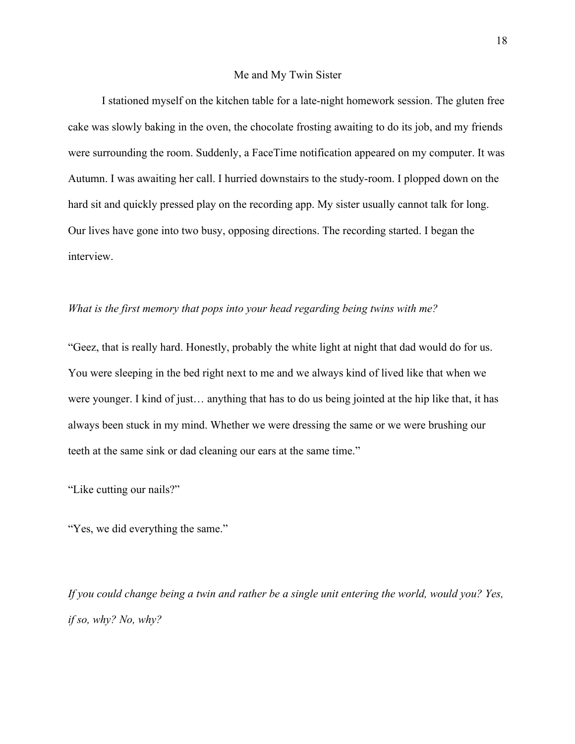#### Me and My Twin Sister

I stationed myself on the kitchen table for a late-night homework session. The gluten free cake was slowly baking in the oven, the chocolate frosting awaiting to do its job, and my friends were surrounding the room. Suddenly, a FaceTime notification appeared on my computer. It was Autumn. I was awaiting her call. I hurried downstairs to the study-room. I plopped down on the hard sit and quickly pressed play on the recording app. My sister usually cannot talk for long. Our lives have gone into two busy, opposing directions. The recording started. I began the interview.

### *What is the first memory that pops into your head regarding being twins with me?*

"Geez, that is really hard. Honestly, probably the white light at night that dad would do for us. You were sleeping in the bed right next to me and we always kind of lived like that when we were younger. I kind of just… anything that has to do us being jointed at the hip like that, it has always been stuck in my mind. Whether we were dressing the same or we were brushing our teeth at the same sink or dad cleaning our ears at the same time."

"Like cutting our nails?"

"Yes, we did everything the same."

*If you could change being a twin and rather be a single unit entering the world, would you? Yes, if so, why? No, why?*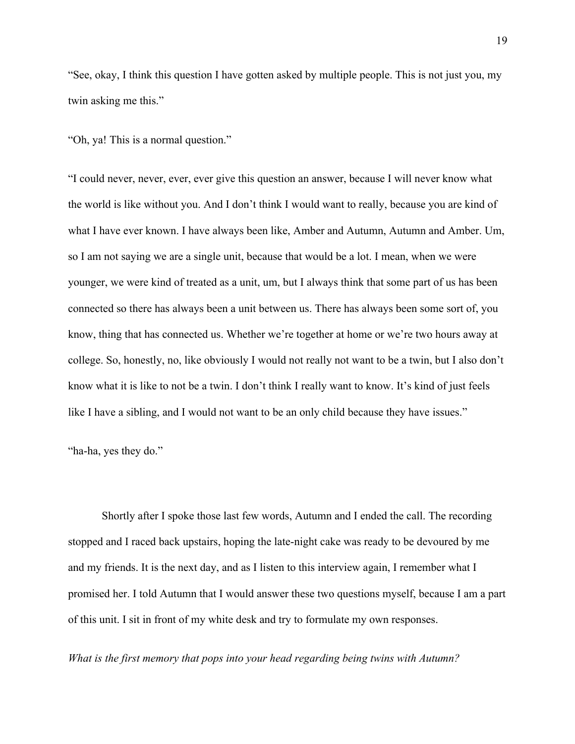"See, okay, I think this question I have gotten asked by multiple people. This is not just you, my twin asking me this."

"Oh, ya! This is a normal question."

"I could never, never, ever, ever give this question an answer, because I will never know what the world is like without you. And I don't think I would want to really, because you are kind of what I have ever known. I have always been like, Amber and Autumn, Autumn and Amber. Um, so I am not saying we are a single unit, because that would be a lot. I mean, when we were younger, we were kind of treated as a unit, um, but I always think that some part of us has been connected so there has always been a unit between us. There has always been some sort of, you know, thing that has connected us. Whether we're together at home or we're two hours away at college. So, honestly, no, like obviously I would not really not want to be a twin, but I also don't know what it is like to not be a twin. I don't think I really want to know. It's kind of just feels like I have a sibling, and I would not want to be an only child because they have issues."

"ha-ha, yes they do."

Shortly after I spoke those last few words, Autumn and I ended the call. The recording stopped and I raced back upstairs, hoping the late-night cake was ready to be devoured by me and my friends. It is the next day, and as I listen to this interview again, I remember what I promised her. I told Autumn that I would answer these two questions myself, because I am a part of this unit. I sit in front of my white desk and try to formulate my own responses.

*What is the first memory that pops into your head regarding being twins with Autumn?*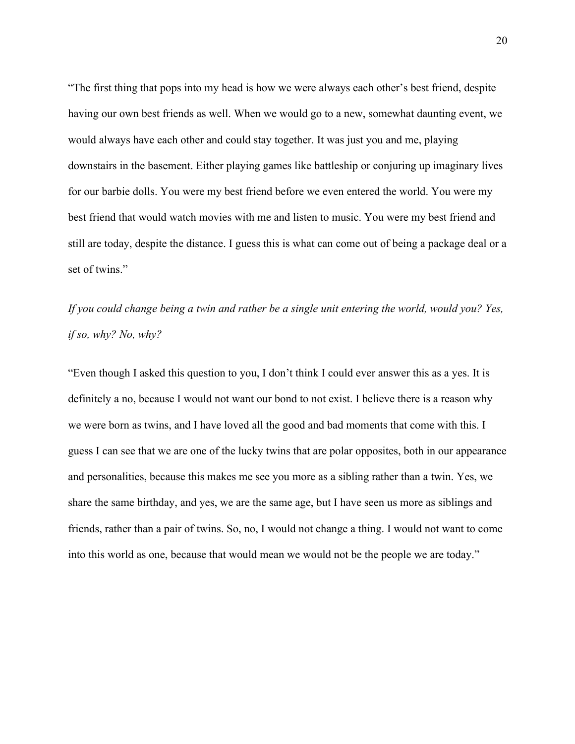"The first thing that pops into my head is how we were always each other's best friend, despite having our own best friends as well. When we would go to a new, somewhat daunting event, we would always have each other and could stay together. It was just you and me, playing downstairs in the basement. Either playing games like battleship or conjuring up imaginary lives for our barbie dolls. You were my best friend before we even entered the world. You were my best friend that would watch movies with me and listen to music. You were my best friend and still are today, despite the distance. I guess this is what can come out of being a package deal or a set of twins."

*If you could change being a twin and rather be a single unit entering the world, would you? Yes, if so, why? No, why?*

"Even though I asked this question to you, I don't think I could ever answer this as a yes. It is definitely a no, because I would not want our bond to not exist. I believe there is a reason why we were born as twins, and I have loved all the good and bad moments that come with this. I guess I can see that we are one of the lucky twins that are polar opposites, both in our appearance and personalities, because this makes me see you more as a sibling rather than a twin. Yes, we share the same birthday, and yes, we are the same age, but I have seen us more as siblings and friends, rather than a pair of twins. So, no, I would not change a thing. I would not want to come into this world as one, because that would mean we would not be the people we are today."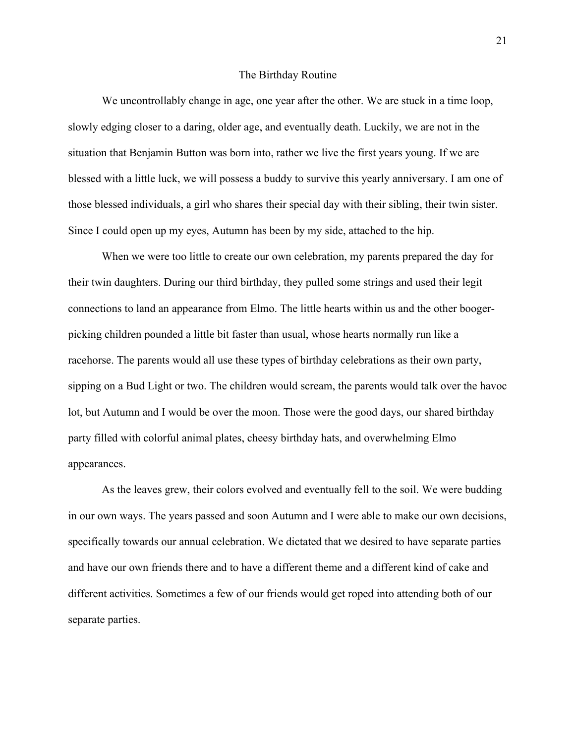#### The Birthday Routine

We uncontrollably change in age, one year after the other. We are stuck in a time loop, slowly edging closer to a daring, older age, and eventually death. Luckily, we are not in the situation that Benjamin Button was born into, rather we live the first years young. If we are blessed with a little luck, we will possess a buddy to survive this yearly anniversary. I am one of those blessed individuals, a girl who shares their special day with their sibling, their twin sister. Since I could open up my eyes, Autumn has been by my side, attached to the hip.

When we were too little to create our own celebration, my parents prepared the day for their twin daughters. During our third birthday, they pulled some strings and used their legit connections to land an appearance from Elmo. The little hearts within us and the other boogerpicking children pounded a little bit faster than usual, whose hearts normally run like a racehorse. The parents would all use these types of birthday celebrations as their own party, sipping on a Bud Light or two. The children would scream, the parents would talk over the havoc lot, but Autumn and I would be over the moon. Those were the good days, our shared birthday party filled with colorful animal plates, cheesy birthday hats, and overwhelming Elmo appearances.

As the leaves grew, their colors evolved and eventually fell to the soil. We were budding in our own ways. The years passed and soon Autumn and I were able to make our own decisions, specifically towards our annual celebration. We dictated that we desired to have separate parties and have our own friends there and to have a different theme and a different kind of cake and different activities. Sometimes a few of our friends would get roped into attending both of our separate parties.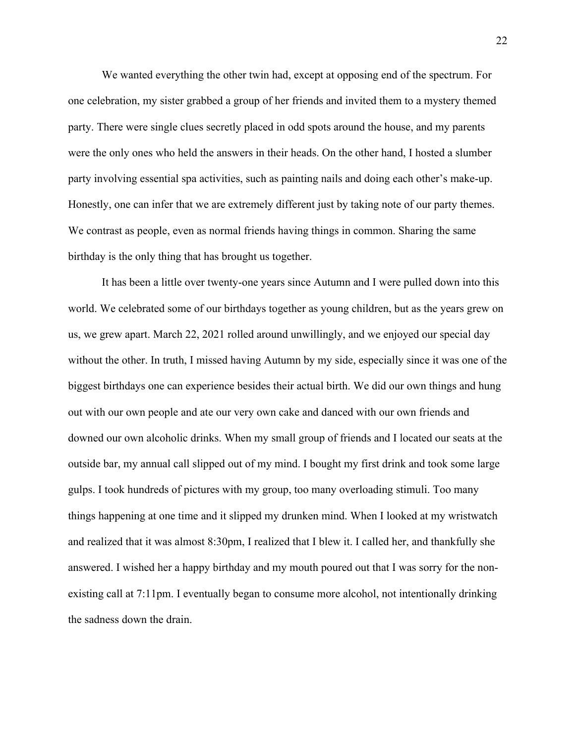We wanted everything the other twin had, except at opposing end of the spectrum. For one celebration, my sister grabbed a group of her friends and invited them to a mystery themed party. There were single clues secretly placed in odd spots around the house, and my parents were the only ones who held the answers in their heads. On the other hand, I hosted a slumber party involving essential spa activities, such as painting nails and doing each other's make-up. Honestly, one can infer that we are extremely different just by taking note of our party themes. We contrast as people, even as normal friends having things in common. Sharing the same birthday is the only thing that has brought us together.

It has been a little over twenty-one years since Autumn and I were pulled down into this world. We celebrated some of our birthdays together as young children, but as the years grew on us, we grew apart. March 22, 2021 rolled around unwillingly, and we enjoyed our special day without the other. In truth, I missed having Autumn by my side, especially since it was one of the biggest birthdays one can experience besides their actual birth. We did our own things and hung out with our own people and ate our very own cake and danced with our own friends and downed our own alcoholic drinks. When my small group of friends and I located our seats at the outside bar, my annual call slipped out of my mind. I bought my first drink and took some large gulps. I took hundreds of pictures with my group, too many overloading stimuli. Too many things happening at one time and it slipped my drunken mind. When I looked at my wristwatch and realized that it was almost 8:30pm, I realized that I blew it. I called her, and thankfully she answered. I wished her a happy birthday and my mouth poured out that I was sorry for the nonexisting call at 7:11pm. I eventually began to consume more alcohol, not intentionally drinking the sadness down the drain.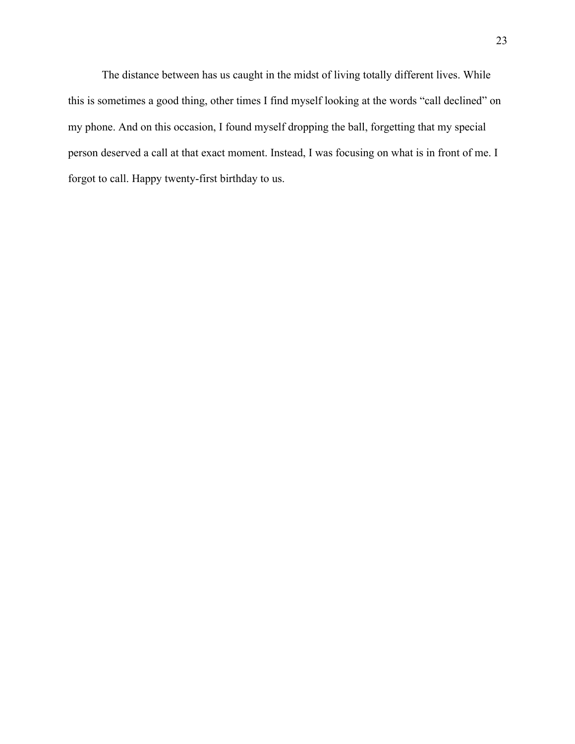The distance between has us caught in the midst of living totally different lives. While this is sometimes a good thing, other times I find myself looking at the words "call declined" on my phone. And on this occasion, I found myself dropping the ball, forgetting that my special person deserved a call at that exact moment. Instead, I was focusing on what is in front of me. I forgot to call. Happy twenty-first birthday to us.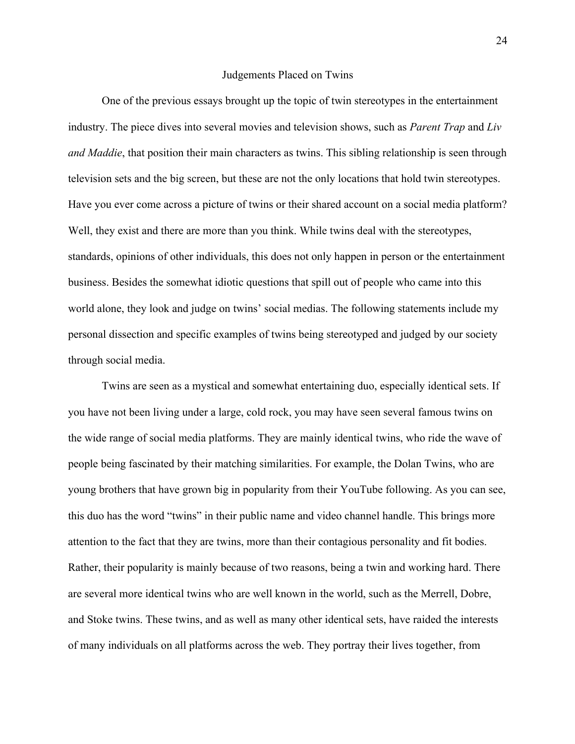#### Judgements Placed on Twins

One of the previous essays brought up the topic of twin stereotypes in the entertainment industry. The piece dives into several movies and television shows, such as *Parent Trap* and *Liv and Maddie*, that position their main characters as twins. This sibling relationship is seen through television sets and the big screen, but these are not the only locations that hold twin stereotypes. Have you ever come across a picture of twins or their shared account on a social media platform? Well, they exist and there are more than you think. While twins deal with the stereotypes, standards, opinions of other individuals, this does not only happen in person or the entertainment business. Besides the somewhat idiotic questions that spill out of people who came into this world alone, they look and judge on twins' social medias. The following statements include my personal dissection and specific examples of twins being stereotyped and judged by our society through social media.

Twins are seen as a mystical and somewhat entertaining duo, especially identical sets. If you have not been living under a large, cold rock, you may have seen several famous twins on the wide range of social media platforms. They are mainly identical twins, who ride the wave of people being fascinated by their matching similarities. For example, the Dolan Twins, who are young brothers that have grown big in popularity from their YouTube following. As you can see, this duo has the word "twins" in their public name and video channel handle. This brings more attention to the fact that they are twins, more than their contagious personality and fit bodies. Rather, their popularity is mainly because of two reasons, being a twin and working hard. There are several more identical twins who are well known in the world, such as the Merrell, Dobre, and Stoke twins. These twins, and as well as many other identical sets, have raided the interests of many individuals on all platforms across the web. They portray their lives together, from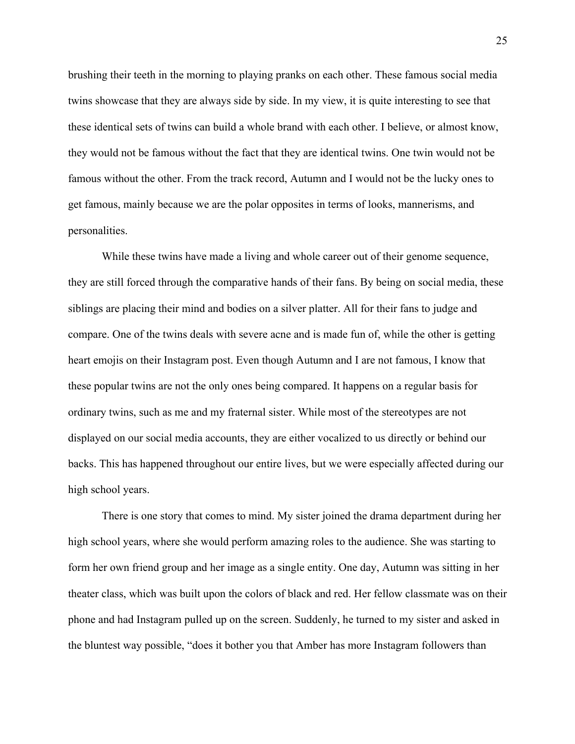brushing their teeth in the morning to playing pranks on each other. These famous social media twins showcase that they are always side by side. In my view, it is quite interesting to see that these identical sets of twins can build a whole brand with each other. I believe, or almost know, they would not be famous without the fact that they are identical twins. One twin would not be famous without the other. From the track record, Autumn and I would not be the lucky ones to get famous, mainly because we are the polar opposites in terms of looks, mannerisms, and personalities.

While these twins have made a living and whole career out of their genome sequence, they are still forced through the comparative hands of their fans. By being on social media, these siblings are placing their mind and bodies on a silver platter. All for their fans to judge and compare. One of the twins deals with severe acne and is made fun of, while the other is getting heart emojis on their Instagram post. Even though Autumn and I are not famous, I know that these popular twins are not the only ones being compared. It happens on a regular basis for ordinary twins, such as me and my fraternal sister. While most of the stereotypes are not displayed on our social media accounts, they are either vocalized to us directly or behind our backs. This has happened throughout our entire lives, but we were especially affected during our high school years.

There is one story that comes to mind. My sister joined the drama department during her high school years, where she would perform amazing roles to the audience. She was starting to form her own friend group and her image as a single entity. One day, Autumn was sitting in her theater class, which was built upon the colors of black and red. Her fellow classmate was on their phone and had Instagram pulled up on the screen. Suddenly, he turned to my sister and asked in the bluntest way possible, "does it bother you that Amber has more Instagram followers than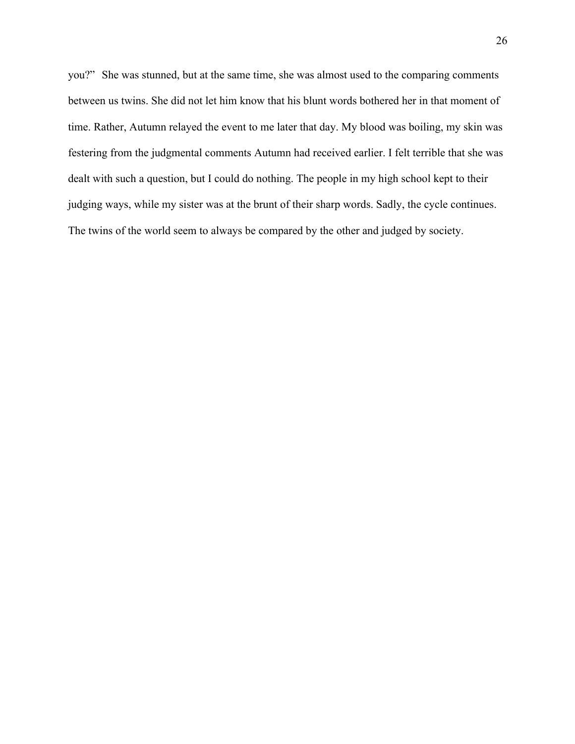you?" She was stunned, but at the same time, she was almost used to the comparing comments between us twins. She did not let him know that his blunt words bothered her in that moment of time. Rather, Autumn relayed the event to me later that day. My blood was boiling, my skin was festering from the judgmental comments Autumn had received earlier. I felt terrible that she was dealt with such a question, but I could do nothing. The people in my high school kept to their judging ways, while my sister was at the brunt of their sharp words. Sadly, the cycle continues. The twins of the world seem to always be compared by the other and judged by society.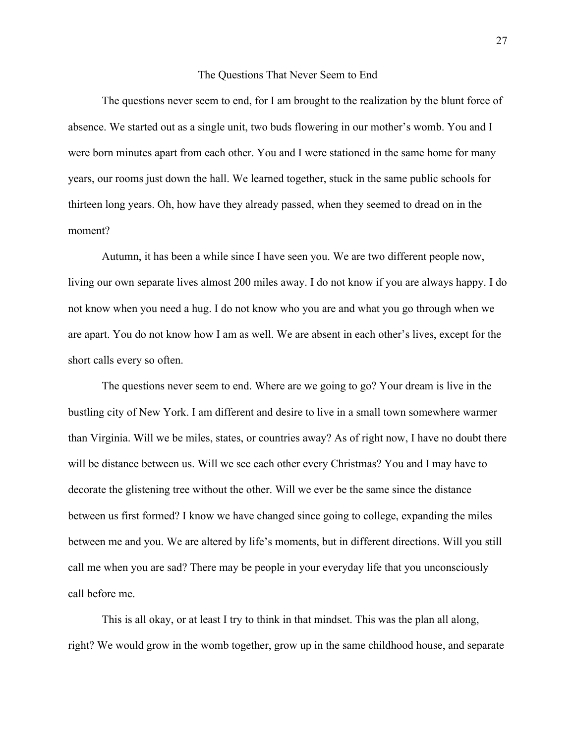#### The Questions That Never Seem to End

The questions never seem to end, for I am brought to the realization by the blunt force of absence. We started out as a single unit, two buds flowering in our mother's womb. You and I were born minutes apart from each other. You and I were stationed in the same home for many years, our rooms just down the hall. We learned together, stuck in the same public schools for thirteen long years. Oh, how have they already passed, when they seemed to dread on in the moment?

Autumn, it has been a while since I have seen you. We are two different people now, living our own separate lives almost 200 miles away. I do not know if you are always happy. I do not know when you need a hug. I do not know who you are and what you go through when we are apart. You do not know how I am as well. We are absent in each other's lives, except for the short calls every so often.

The questions never seem to end. Where are we going to go? Your dream is live in the bustling city of New York. I am different and desire to live in a small town somewhere warmer than Virginia. Will we be miles, states, or countries away? As of right now, I have no doubt there will be distance between us. Will we see each other every Christmas? You and I may have to decorate the glistening tree without the other. Will we ever be the same since the distance between us first formed? I know we have changed since going to college, expanding the miles between me and you. We are altered by life's moments, but in different directions. Will you still call me when you are sad? There may be people in your everyday life that you unconsciously call before me.

This is all okay, or at least I try to think in that mindset. This was the plan all along, right? We would grow in the womb together, grow up in the same childhood house, and separate